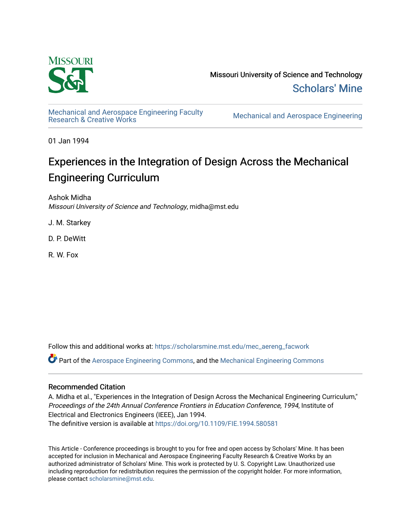

Missouri University of Science and Technology [Scholars' Mine](https://scholarsmine.mst.edu/) 

[Mechanical and Aerospace Engineering Faculty](https://scholarsmine.mst.edu/mec_aereng_facwork) 

**Mechanical and Aerospace Engineering** 

01 Jan 1994

# Experiences in the Integration of Design Across the Mechanical Engineering Curriculum

Ashok Midha Missouri University of Science and Technology, midha@mst.edu

J. M. Starkey

D. P. DeWitt

R. W. Fox

Follow this and additional works at: [https://scholarsmine.mst.edu/mec\\_aereng\\_facwork](https://scholarsmine.mst.edu/mec_aereng_facwork?utm_source=scholarsmine.mst.edu%2Fmec_aereng_facwork%2F3363&utm_medium=PDF&utm_campaign=PDFCoverPages) 

Part of the [Aerospace Engineering Commons](http://network.bepress.com/hgg/discipline/218?utm_source=scholarsmine.mst.edu%2Fmec_aereng_facwork%2F3363&utm_medium=PDF&utm_campaign=PDFCoverPages), and the [Mechanical Engineering Commons](http://network.bepress.com/hgg/discipline/293?utm_source=scholarsmine.mst.edu%2Fmec_aereng_facwork%2F3363&utm_medium=PDF&utm_campaign=PDFCoverPages) 

# Recommended Citation

A. Midha et al., "Experiences in the Integration of Design Across the Mechanical Engineering Curriculum," Proceedings of the 24th Annual Conference Frontiers in Education Conference, 1994, Institute of Electrical and Electronics Engineers (IEEE), Jan 1994.

The definitive version is available at <https://doi.org/10.1109/FIE.1994.580581>

This Article - Conference proceedings is brought to you for free and open access by Scholars' Mine. It has been accepted for inclusion in Mechanical and Aerospace Engineering Faculty Research & Creative Works by an authorized administrator of Scholars' Mine. This work is protected by U. S. Copyright Law. Unauthorized use including reproduction for redistribution requires the permission of the copyright holder. For more information, please contact [scholarsmine@mst.edu.](mailto:scholarsmine@mst.edu)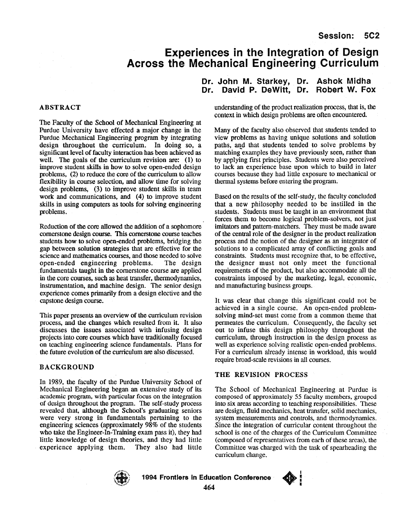# **Experiences in the Integration of Design Across the Mechanical Engineering Curriculum**

# **ABSTRACT**

The Faculty of the School of Mechanical Engineering at Purdue University have effected a major change in the Purdue Mechanical Engineering program by integrating design throughout the curriculum. In doing *so,* a significant level of faculty interaction has been achieved **as**  well. The goals of the curriculum revision **are:** (1) to improve student skills in how to solve open-ended design problems, **(2)** to reduce the core of the curriculum to allow flexibility in course selection, and allow time for solving design problems, **(3)** to improve student skills in team work and communications, and **(4)** to improve student skills in using computers **as** tools for solving engineering problems.

Reduction of the core allowed the addition of a sophomore comerstone design course. **This** cornentone course teaches students how to solve open-ended problems, bridging the gap between solution strategies that are effective for the science and mathematics courses, and those needed to solve open-ended engineering problems. The design fundamentals taught in the cornerstone course are applied in the core courses, such **as** heat transfer, thermodynamics, instrumentation, and machine design. The senior design experience comes primarily from a design elective and the capstone design course.

This paper presents an overview of the curriculum revision process, and the changes which resulted from it. It also discusses the issues associated with infusing design projects into core courses which have traditionally focused on teaching engineering science fundamentals. Plans for the future evolution of the curriculum **are** also discussed.

#### **BACKGROUND**

In 1989, the faculty of the Purdue University School of Mechanical Engineering began an extensive study of its academic program, with particular focus on the integration of design throughout the program. The self-study process revealed that, although the School's graduating seniors were very strong in fundamentals pertaining to the engineering sciences (approximately 98% of the students who take the Engineer-In-Training exam pass it), they had little knowledge of design theories, and they had little experience applying them. They also had little

# **Dr. John M. Starkey, Dr. Ashok Midha Dr. David P. DeWitt, Dr. Robert W. Fox**

understanding of the product realization process, that is, the context in which design problems are often encountered.

Many of the faculty also observed that students tended to view problems **as** having unique solutions and solution paths, and that students tended to solve problems by matching examples they have previously seen, rather than by applying fist principles. Students were also perceived to lack an experience base upon which to build in later courses because they had little exposure to mechanical or thermal systems before entering the program.

Based on the results of the self-study, the faculty concluded that a new philosophy needed to be instilled in the students. Students must be taught in an environment that forces them to become logical problem-solvers, not just imitators and pattem-matchers. They must be made aware of the central role of the designer in the product realization process and the notion of the designer **as** an integrator of solutions to a complicated array of conflicting goals and constraints. Students must recognize that, to be effective, the designer must not only meet the functional requirements of the product, but also accommodate all the constraints imposed by the marketing, legal, economic, and manufacturing business groups.

It was clear that change this significant could not be achieved in a single course. An open-ended problemsolving mind-set must come from a common theme that permeates the curriculum. Consequently, the faculty set out to infuse this design philosophy throughout the curriculum, through instruction in the design process as well **as** experience solving realistic open-ended problems. For a curriculum already intense in workload, this would require broad-scale revisions in all courses.

#### **THE REVISION PROCESS**

The School of Mechanical Engineering at Purdue is composed **of** approximately **55** faculty members, grouped into six areas according to teaching responsibilities. These are design, fluid mechanics, heat transfer, solid mechanics, system measurements and controls, and thermodynamics. Since the integration of curricular content throughout the school is one of the charges of the Curriculum Committee (composed of representatives from each of these areas), the Committee was charged with the task of spearheading the curriculum change.



**1094 Frontiers in Education Conference 464** 

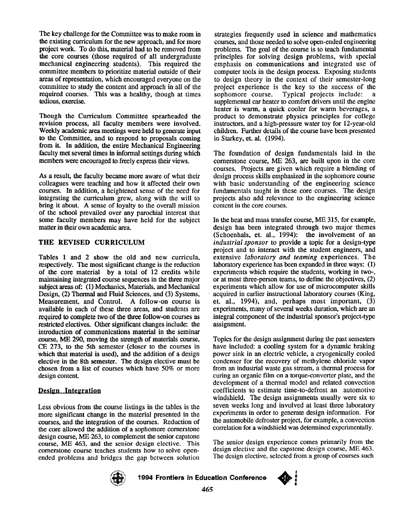The key challenge for the Committee was to make room in the existing curriculum for the new approach, and for more project work. To do this, material had to be removed from the core courses (those required of all undergraduate mechanical engineering students). This required the committee members to prioritize material outside of their areas of representation, which encouraged everyone on the committee to study the content and approach in all of the required courses. This was a healthy, though at times tedious, exercise.

Though the Curriculum Committee spearheaded the revision process, all faculty members were involved. Weekly academic **area** meetings were held to generate input to the Committee, and to respond to proposals coming from it. In addition, the entire Mechanical Engineering faculty met several times in informal settings during which members were encouraged to freely express their views.

**As** a result, the faculty became more aware of what their colleagues were teaching and how it affected their own courses. In addition, a heightened sense of the need for integrating the curriculum grew, along with the will to bring it about. **A** sense of loyalty to the overall mission of the school prevailed over any parochial interest that some faculty members may have held for the subject matter in their own academic area.

# **THE REVISED CURRICULUM**

[Tables](#page-4-0) **1** and 2 show the old and new curricula, respectively. The most significant change is the reduction of the core material by a total of 12 credits while maintaining integrated course sequences in the three major subject areas of: (1) Mechanics, Materials, and Mechanical Design, (2) Thermal and Fluid Sciences, and (3) Systems, Measurement, and Control. **A** follow-on course is available in each of these three areas, and students are required to complete two of the three follow-on courses **as**  restricted electives. Other significant changes include: the introduction of communications material in the seminar course, **ME** 290, moving the strength of materials course, CE 273, to the 5th semester (closer to the courses in which that material is used), and the addition of a design elective in the 8th semester. The design elective must be chosen from a list of courses which have 50% or more design content.

# **Integration**

Less obvious from the course listings in the tables is the more significant change in the material presented in the courses, and the integration of the courses. Reduction of the core allowed the addition of a sophomore cornerstone design course, **ME** 263, to complement the senior capstone course, ME 463, and the senior design elective. This cornerstone course teaches students how to solve openended problems and bridges the gap between solution

strategies frequently used in science and mathematics courses, and those needed to solve open-ended engineering problems. The goal of the course is to teach fundamental principles for solving design problems, with special emphasis on communications and integrated use of computer tools in the design process. Exposing students to design theory in the context of their semester-long project experience is the key to the success of the sophomore course. Typical projects include: a Typical projects include: a supplemental *car* heater to comfort drivers until the engine heater is warm, a quick cooler for **warm** beverages, a product to demonstrate physics principles for college instructors, and a high-pressure water toy for 12-year-old children. Further details of the course have been presented in Starkey, et. al. (1994).

The foundation of design fundamentals laid in the cornerstone course, ME 263, are built upon in the core courses. Projects are given which require a blending of design process skills emphasized in the sophomore course with basic understanding of the engineering science fundamentals taught in these core courses. The design projects also add relevance to the engineering science content in the core courses.

In the heat and mass transfer course, MIE **315,** for example, design has been integrated through two major themes (Schoenhals, et. al., 1994): the involvement of an *industrial sponsor* to provide a topic for a design-type project and to interact with the student engineers, and extensive laboratory *and teaming* experiences. The laboratory experience has been expanded in three ways: (1) experiments which require the students, working in two-, or at most three-person teams, to define the objectives, (2) experiments which allow for use of microcomputer skills acquired in earlier instructional laboratory courses (King, et. al., 1994), and, perhaps most important, (3) experiments, many of several weeks duration, which are an integral component of the industrial sponsor's project-type assignment.

Topics for the design assignment during the past semesters have included: a cooling system for a dynamic braking power sink in an electric vehicle, a cryogenically cooled condenser for the recovery of methylene chloride vapor from an industrial waste gas stream, a thermal process for curing an organic **film** on a torque-converter plate, and the development of a thermal model and related convection coefficients to estimate time-to-defrost an automotive windshield. The design assignments usually were six to seven weeks long and involved at least three laboratory experiments in order to generate design information. For the automobile defroster project, for example, a convection correlation for a windshield was determined experimentally.

The senior design experience comes primarily from the design elective and the capstone design course, ME 463. The design elective, selected from a group of courses such



**1994 Frontiers in Education Conference** 

**465**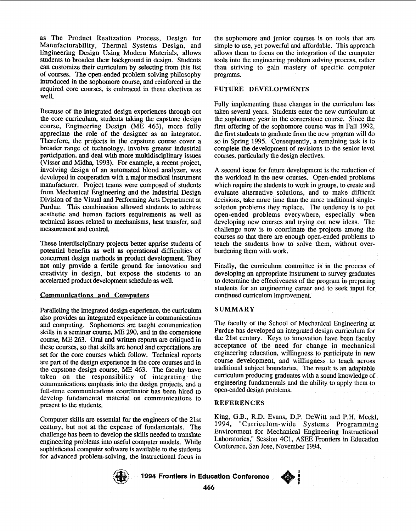as The Product Realization Process, Design for Manufacturability, Thermal Systems Design, and Engineering Design Using Modem Materials, allows students to broaden their background in design. Students *can* customize their curriculum by selecting from this list of courses. The open-ended problem solving philosophy introduced in the sophomore course, and reinforced in the required core courses, is embraced in these electives **as**  well.

Because of the integrated design experiences through out the core curriculum, students taking the capstone design course, Engineering Design (ME 463), more fully appreciate the role of the designer **as** an integrator. Therefore, the projects in the capstone course cover a broader range of technology, involve greater industrial participation, and deal with more multidisciplinary issues (Visser and Midha, 1993). For example, a recent project, involving design **of** an automated blood analyzer, was developed in cooperation with a major medical instrument manufacturer. Project teams were composed of students from Mechanical Engineering and the Industrial Design Division of the Visual and Performing *Arts* Department at Purdue. This combination allowed students to address aesthetic and human factors requirements as well as technical issues related to mechanisms, heat transfer, and measurement and control.

These interdisciplinary projects better apprise students of potential benefits **as** well **as** operational difficulties of concurrent design methods in product development. They not only provide a fertile ground for innovation and creativity in design, but expose the students to an accelerated product development schedule **as** well.

#### **Communications and Computers**

Paralleling the integrated design experience, the curriculum also provides **an** integrated experience in communications and computing. Sophomores are taught communication skills in a seminar course, **ME** 290, and in the comerstone course, ME 263. Oral and written **reports** are critiqued in these courses, so that **skills** are honed and expectations are set for the core courses which follow. Technical reports are part of the design experience in the core courses and in the capstone design course, **ME** 463. The faculty have taken on the responsibility of integrating the communications emphasis into the design projects, and a full-time communications coordinator has been hired to develop fundamental material on communications to present to the students.

Computer skills are essential for the engineers of the 21st century, but not at the expense **of** fundamentals. The challenge has been to develop the skills needed to translate engineering problems into useful computer models. While sophisticated computer software is available to the students for advanced problem-solving, the instructional focus in

the sophomore and junior courses is on tools that are simple to use, yet powerful and affordable. This approach allows them to focus on the integration of the computer tools into the engineering problem solving process, rather than striving to gain mastery of specific computer programs.

### **FUTURE DEVELOPMENTS**

Fully implementing these changes in the curriculum has taken several years. Students enter the new curriculum at the sophomore year in the cornerstone course. Since the first offering of the sophomore course was in Fall 1992, the first students to graduate from the new program will do so in Spring 1995. Consequently, a remaining task is to complete the development of revisions to the senior level courses, particularly the design electives.

**A** second issue for future development is the reduction of the workload in the new courses. Open-ended problems which require the students to work in groups, to create and evaluate alternative solutions, and to make difficult decisions, take more time than the more traditional singlesolution problems they replace. The tendency is to put open-ended problems everywhere, especially when developing new courses and trying out new ideas. The challenge now is to coordinate the projects among the courses *so* that there are enough open-ended problems to teach the students how to solve them, without overburdening them with work.

Finally, the curriculum committee is in the process of developing an appropriate instrument to survey graduates to determine the effectiveness of the program in preparing students for **an** engineering career and to seek input for continued curriculum improvement.

# **SUMMARY**

The faculty of the School of Mechanical Engineering at Purdue has developed an integrated design curriculum for the 21st century. Keys to innovation have been faculty acceptance of the need for change in mechanical engineering education, willingness to participate in new course development, and willingness to teach across traditional subject boundaries. The result is an adaptable curriculum producing graduates with a sound knowledge **of**  engineering fundamentals and the ability to apply them to open-ended design problems.

# **REFERENCES**

King, G.B., R.D. Evans, D.P. DeWitt and P.H. Meckl, 1994, "Curriculum-wide Systems Programming Environment for Mechanical Engineering Instructional Laboratories," Session 4C1, **ASEE** Frontiers in Education Conference, San Jose, November 1994.

> **I E**

**e** 



**E 1894 Frontiers in Education Conference 466**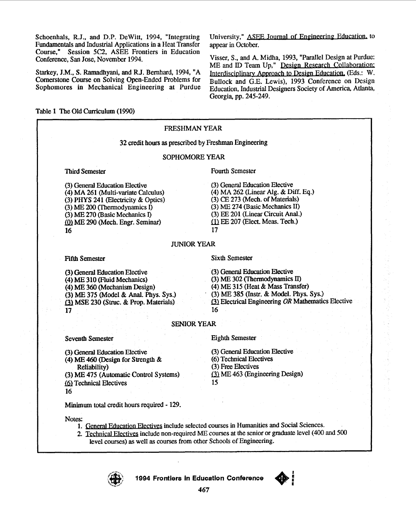<span id="page-4-0"></span>Schoenhals, R.J., and D.P. DeWitt, 1994, "Integrating Fundamentals and Industrial Applications in a Heat Transfer Course," Session 5C2, ASEE Frontiers in Education Conference, San Jose, November 1994.

Starkey, J.M., S. Ramadhyani, and R.J. Bernhard, 1994, "A Cornerstone Course on Solving Open-Ended Problems for Sophomores in Mechanical Engineering at Purdue

University," ASEE Journal of Engineering Education, to appear in October.

Visser, S., and A. Midha, 1993, "Parallel Design at Purdue: ME and ID Team Up," Design Research Collaboration: Interdisciplinary Approach to Design Education, (Eds.: W. Bullock and G.E. Lewis), 1993 Conference on Design Education, Industrial Designers Society of America, Atlanta, Georgia, pp. 245-249.

Table 1 The Old Curriculum (1990)

#### **FRESHMAN YEAR** 32 credit hours as prescribed by Freshman Engineering SOPHOMORE YEAR **Fourth Semester Third Semester** (3) General Education Elective (3) General Education Elective (4) MA 261 (Multi-variate Calculus) (4) MA 262 (Linear Alg. & Diff. Eq.)  $(3)$  PHYS 241 (Electricity & Optics) (3) CE 273 (Mech. of Materials) (3) ME 274 (Basic Mechanics II)  $(3)$  ME 200 (Thermodynamics I) (3) EE 201 (Linear Circuit Anal.) (3) ME 270 (Basic Mechanics I) (1) EE 207 (Elect. Meas. Tech.) (0) ME 290 (Mech. Engr. Seminar) 16 17 **JUNIOR YEAR Sixth Semester Fifth Semester** (3) General Education Elective (3) General Education Elective (3) ME 302 (Thermodynamics II) (4) ME 310 (Fluid Mechanics) (4) ME 315 (Heat & Mass Transfer) (4) ME 360 (Mechanism Design) (3) ME 385 (Instr. & Model. Phys. Sys.) (3) ME 375 (Model & Anal. Phys. Sys.) (3) Electrical Engineering OR Mathematics Elective (3) MSE 230 (Struc. & Prop. Materials) 16  $17$ **SENIOR YEAR Eighth Semester Seventh Semester** (3) General Education Elective (3) General Education Elective (6) Technical Electives (4) ME 460 (Design for Strength  $\&$ (3) Free Electives **Reliability**) (3) ME 463 (Engineering Design) (3) ME 475 (Automatic Control Systems) (6) Technical Electives 15 16 Minimum total credit hours required - 129. Notes: 1. General Education Electives include selected courses in Humanities and Social Sciences. 2. Technical Electives include non-required ME courses at the senior or graduate level (400 and 500 level courses) as well as courses from other Schools of Engineering.



1994 Frontiers in Education Conference